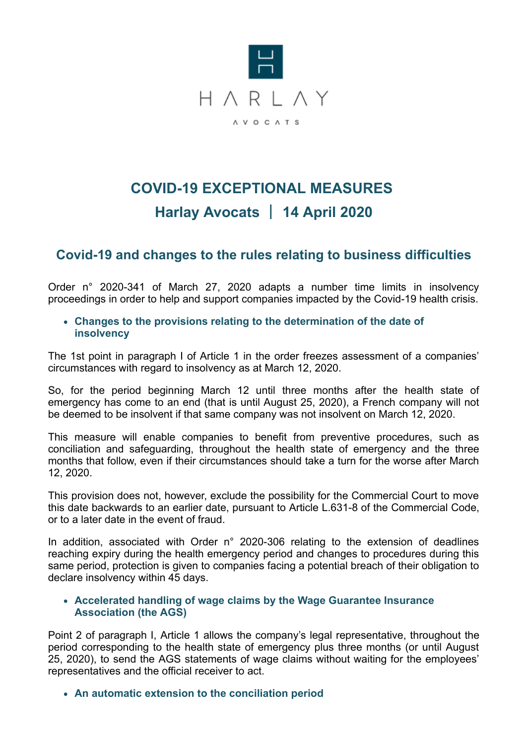

# **COVID-19 EXCEPTIONAL MEASURES Harlay Avocats** | **14 April 2020**

## **Covid-19 and changes to the rules relating to business difficulties**

Order n° 2020-341 of March 27, 2020 adapts a number time limits in insolvency proceedings in order to help and support companies impacted by the Covid-19 health crisis.

**Changes to the provisions relating to the determination of the date of insolvency**

The 1st point in paragraph I of Article 1 in the order freezes assessment of a companies' circumstances with regard to insolvency as at March 12, 2020.

So, for the period beginning March 12 until three months after the health state of emergency has come to an end (that is until August 25, 2020), a French company will not be deemed to be insolvent if that same company was not insolvent on March 12, 2020.

This measure will enable companies to benefit from preventive procedures, such as conciliation and safeguarding, throughout the health state of emergency and the three months that follow, even if their circumstances should take a turn for the worse after March 12, 2020.

This provision does not, however, exclude the possibility for the Commercial Court to move this date backwards to an earlier date, pursuant to Article L.631-8 of the Commercial Code, or to a later date in the event of fraud.

In addition, associated with Order n° 2020-306 relating to the extension of deadlines reaching expiry during the health emergency period and changes to procedures during this same period, protection is given to companies facing a potential breach of their obligation to declare insolvency within 45 days.

#### **Accelerated handling of wage claims by the Wage Guarantee Insurance Association (the AGS)**

Point 2 of paragraph I, Article 1 allows the company's legal representative, throughout the period corresponding to the health state of emergency plus three months (or until August 25, 2020), to send the AGS statements of wage claims without waiting for the employees' representatives and the official receiver to act.

**An automatic extension to the conciliation period**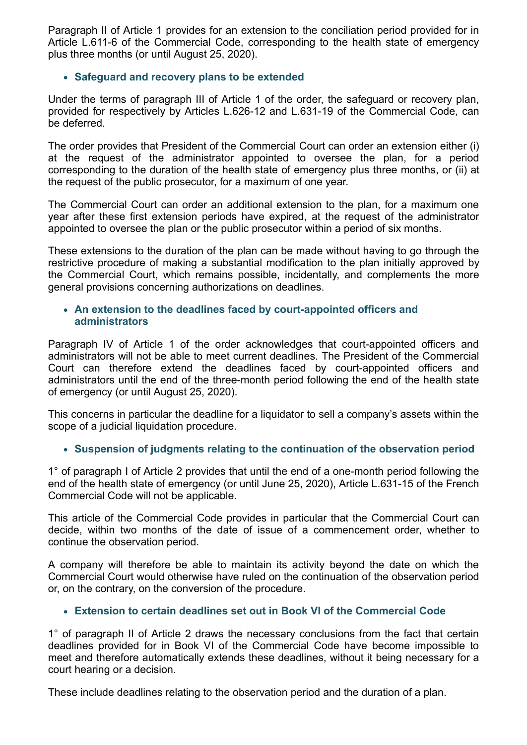Paragraph II of Article 1 provides for an extension to the conciliation period provided for in Article L.611-6 of the Commercial Code, corresponding to the health state of emergency plus three months (or until August 25, 2020).

#### **Safeguard and recovery plans to be extended**

Under the terms of paragraph III of Article 1 of the order, the safeguard or recovery plan, provided for respectively by Articles L.626-12 and L.631-19 of the Commercial Code, can be deferred.

The order provides that President of the Commercial Court can order an extension either (i) at the request of the administrator appointed to oversee the plan, for a period corresponding to the duration of the health state of emergency plus three months, or (ii) at the request of the public prosecutor, for a maximum of one year.

The Commercial Court can order an additional extension to the plan, for a maximum one year after these first extension periods have expired, at the request of the administrator appointed to oversee the plan or the public prosecutor within a period of six months.

These extensions to the duration of the plan can be made without having to go through the restrictive procedure of making a substantial modification to the plan initially approved by the Commercial Court, which remains possible, incidentally, and complements the more general provisions concerning authorizations on deadlines.

#### **An extension to the deadlines faced by court-appointed officers and administrators**

Paragraph IV of Article 1 of the order acknowledges that court-appointed officers and administrators will not be able to meet current deadlines. The President of the Commercial Court can therefore extend the deadlines faced by court-appointed officers and administrators until the end of the three-month period following the end of the health state of emergency (or until August 25, 2020).

This concerns in particular the deadline for a liquidator to sell a company's assets within the scope of a judicial liquidation procedure.

## **Suspension of judgments relating to the continuation of the observation period**

1° of paragraph I of Article 2 provides that until the end of a one-month period following the end of the health state of emergency (or until June 25, 2020), Article L.631-15 of the French Commercial Code will not be applicable.

This article of the Commercial Code provides in particular that the Commercial Court can decide, within two months of the date of issue of a commencement order, whether to continue the observation period.

A company will therefore be able to maintain its activity beyond the date on which the Commercial Court would otherwise have ruled on the continuation of the observation period or, on the contrary, on the conversion of the procedure.

## **Extension to certain deadlines set out in Book VI of the Commercial Code**

1° of paragraph II of Article 2 draws the necessary conclusions from the fact that certain deadlines provided for in Book VI of the Commercial Code have become impossible to meet and therefore automatically extends these deadlines, without it being necessary for a court hearing or a decision.

These include deadlines relating to the observation period and the duration of a plan.